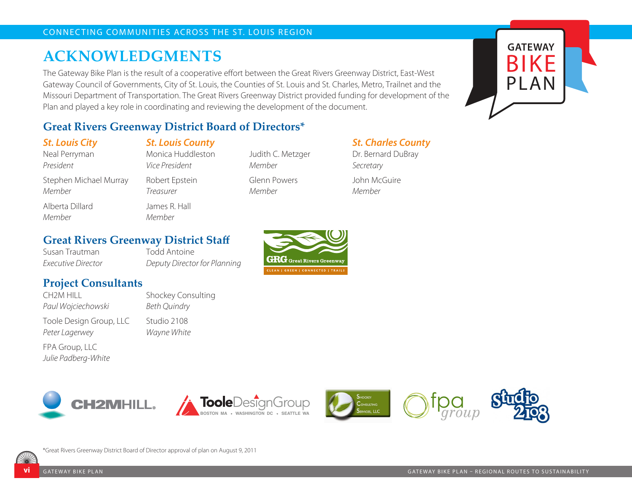# **ACKNOWLEDGMENTS**

The Gateway Bike Plan is the result of a cooperative effort between the Great Rivers Greenway District, East-West Gateway Council of Governments, City of St. Louis, the Counties of St. Louis and St. Charles, Metro, Trailnet and the Missouri Department of Transportation. The Great Rivers Greenway District provided funding for development of the Plan and played a key role in coordinating and reviewing the development of the document.

## **Great Rivers Greenway District Board of Directors\***

*St. Louis City*

Neal Perryman *President* 

Stephen Michael Murray *Member* Alberta Dillard

**Project Consultants**

Monica Huddleston *Vice President*  Robert Epstein *Treasurer* 

*St. Louis County* 

James R. Hall *Member*

Judith C. Metzger *Member*  Glenn Powers *Member*

### *St. Charles County*

Dr. Bernard DuBray *Secretary*  John McGuire *Member*

### **Great Rivers Greenway District Staff**

Susan Trautman *Executive Director*

*Paul Wojciechowski*

*Peter Lagerwey* FPA Group, LLC *Julie Padberg-White*

Toole Design Group, LLC

CH2M HILL

*Member*

Todd Antoine *Deputy Director for Planning* 

Shockey Consulting

*Beth Quindry* Studio 2108 *Wayne White*











**GATEWAY**

BIKE

PLAN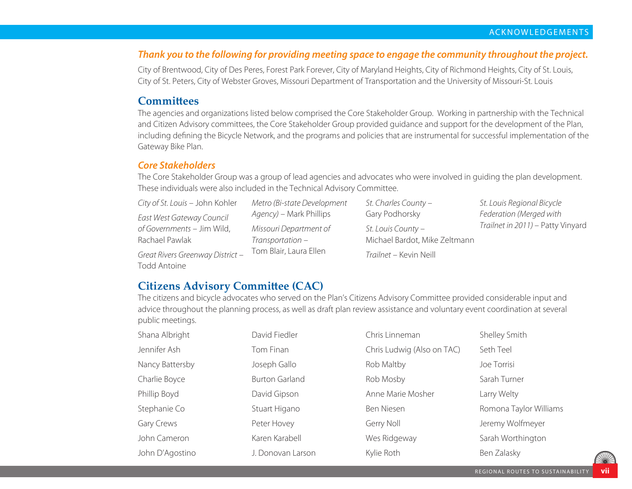#### *Thank you to the following for providing meeting space to engage the community throughout the project.*

City of Brentwood, City of Des Peres, Forest Park Forever, City of Maryland Heights, City of Richmond Heights, City of St. Louis, City of St. Peters, City of Webster Groves, Missouri Department of Transportation and the University of Missouri-St. Louis

#### **Committees**

The agencies and organizations listed below comprised the Core Stakeholder Group. Working in partnership with the Technical and Citizen Advisory committees, the Core Stakeholder Group provided guidance and support for the development of the Plan, including defining the Bicycle Network, and the programs and policies that are instrumental for successful implementation of the Gateway Bike Plan.

#### *Core Stakeholders*

The Core Stakeholder Group was a group of lead agencies and advocates who were involved in guiding the plan development. These individuals were also included in the Technical Advisory Committee.

*City of St. Louis* – John Kohler *East West Gateway Council of Governments* – Jim Wild, Rachael Pawlak

*Great Rivers Greenway District* – Todd Antoine

*Metro (Bi-state Development Agency)* – Mark Phillips *Missouri Department of Transportation* – Tom Blair, Laura Ellen

*St. Charles County* – Gary Podhorsky *St. Louis County* – Michael Bardot, Mike Zeltmann *Trailnet* – Kevin Neill

*St. Louis Regional Bicycle Federation (Merged with Trailnet in 2011)* – Patty Vinyard

### **Citizens Advisory Committee (CAC)**

The citizens and bicycle advocates who served on the Plan's Citizens Advisory Committee provided considerable input and advice throughout the planning process, as well as draft plan review assistance and voluntary event coordination at several public meetings.

| Shana Albright  | David Fiedler         | Chris Linneman             | Shelley Smith          |
|-----------------|-----------------------|----------------------------|------------------------|
| Jennifer Ash    | Tom Finan             | Chris Ludwig (Also on TAC) | Seth Teel              |
| Nancy Battersby | Joseph Gallo          | Rob Maltby                 | Joe Torrisi            |
| Charlie Boyce   | <b>Burton Garland</b> | Rob Mosby                  | Sarah Turner           |
| Phillip Boyd    | David Gipson          | Anne Marie Mosher          | Larry Welty            |
| Stephanie Co    | Stuart Higano         | Ben Niesen                 | Romona Taylor Williams |
| Gary Crews      | Peter Hovey           | Gerry Noll                 | Jeremy Wolfmeyer       |
| John Cameron    | Karen Karabell        | Wes Ridgeway               | Sarah Worthington      |
| John D'Agostino | J. Donovan Larson     | Kylie Roth                 | Ben Zalasky            |
|                 |                       |                            |                        |